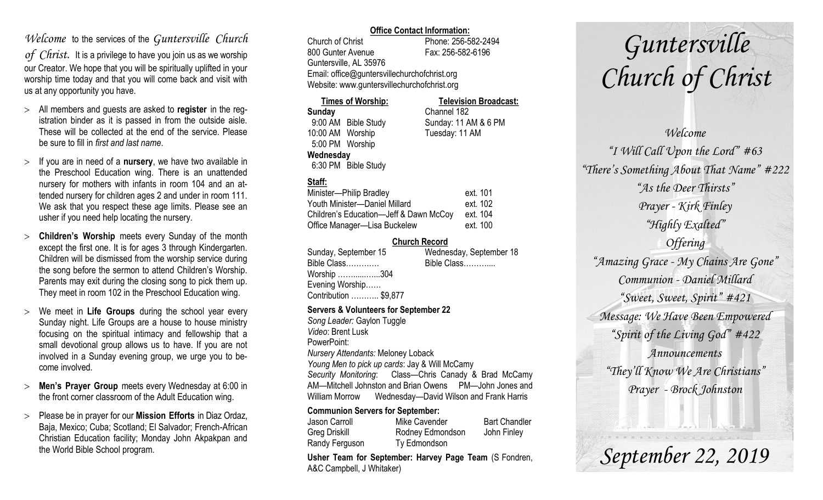## *Welcome* to the services of the *Guntersville Church*

*of Christ*. It is a privilege to have you join us as we worship our Creator. We hope that you will be spiritually uplifted in your worship time today and that you will come back and visit with us at any opportunity you have.

- All members and guests are asked to **register** in the registration binder as it is passed in from the outside aisle. These will be collected at the end of the service. Please be sure to fill in *first and last name*.
- $>$  If you are in need of a **nursery**, we have two available in the Preschool Education wing. There is an unattended nursery for mothers with infants in room 104 and an attended nursery for children ages 2 and under in room 111. We ask that you respect these age limits. Please see an usher if you need help locating the nursery.
- **Children's Worship** meets every Sunday of the month except the first one. It is for ages 3 through Kindergarten. Children will be dismissed from the worship service during the song before the sermon to attend Children's Worship. Parents may exit during the closing song to pick them up. They meet in room 102 in the Preschool Education wing.
- We meet in **Life Groups** during the school year every Sunday night. Life Groups are a house to house ministry focusing on the spiritual intimacy and fellowship that a small devotional group allows us to have. If you are not involved in a Sunday evening group, we urge you to become involved.
- **Men's Prayer Group** meets every Wednesday at 6:00 in the front corner classroom of the Adult Education wing.
- Please be in prayer for our **Mission Efforts** in Diaz Ordaz, Baja, Mexico; Cuba; Scotland; El Salvador; French-African Christian Education facility; Monday John Akpakpan and the World Bible School program.

### **Office Contact Information:**

Church of Christ Phone: 256-582-2494 800 Gunter Avenue Fax: 256-582-6196 Guntersville, AL 35976 Email: office@guntersvillechurchofchrist.org Website: www.guntersvillechurchofchrist.org

### **Times of Worship: Television Broadcast: Sunday** Channel 182 9:00 AM Bible Study Sunday: 11 AM & 6 PM 10:00 AM Worship Tuesday: 11 AM 5:00 PM Worship **Wednesday** 6:30 PM Bible Study

### **Staff:**

| Minister-Philip Bradley                | ext. 101 |
|----------------------------------------|----------|
| Youth Minister-Daniel Millard          | ext. 102 |
| Children's Education-Jeff & Dawn McCoy | ext. 104 |
| Office Manager-Lisa Buckelew           | ext. 100 |

### **Church Record**

| Sunday, September 15  | Wednesday, September 18 |
|-----------------------|-------------------------|
| Bible Class           | Bible Class             |
| Worship 304           |                         |
| Evening Worship       |                         |
| Contribution  \$9,877 |                         |
|                       |                         |

### **Servers & Volunteers for September 22**

*Song Leader:* Gaylon Tuggle *Video*: Brent Lusk PowerPoint: *Nursery Attendants:* Meloney Loback *Young Men to pick up cards*: Jay & Will McCamy *Security Monitoring*: Class—Chris Canady & Brad McCamy AM—Mitchell Johnston and Brian Owens PM—John Jones and William Morrow Wednesday—David Wilson and Frank Harris

### **Communion Servers for September:**

| Jason Carroll  | Mike Cavender    | <b>Bart Chandler</b> |
|----------------|------------------|----------------------|
| Greg Driskill  | Rodney Edmondson | John Finley          |
| Randy Ferguson | Ty Edmondson     |                      |

**Usher Team for September: Harvey Page Team** (S Fondren, A&C Campbell, J Whitaker)

# *Guntersville Church of Christ*

## *Welcome "I Will Call Upon the Lord" #63 "There's Something About That Name" #222 "As the Deer Thirsts" Prayer - Kirk Finley "Highly Exalted" Offering "Amazing Grace - My Chains Are Gone" Communion - Daniel Millard "Sweet, Sweet, Spirit" #421 Message: We Have Been Empowered "Spirit of the Living God" #422 Announcements "They'll Know We Are Christians" Prayer - Brock Johnston*

*September 22, 2019*